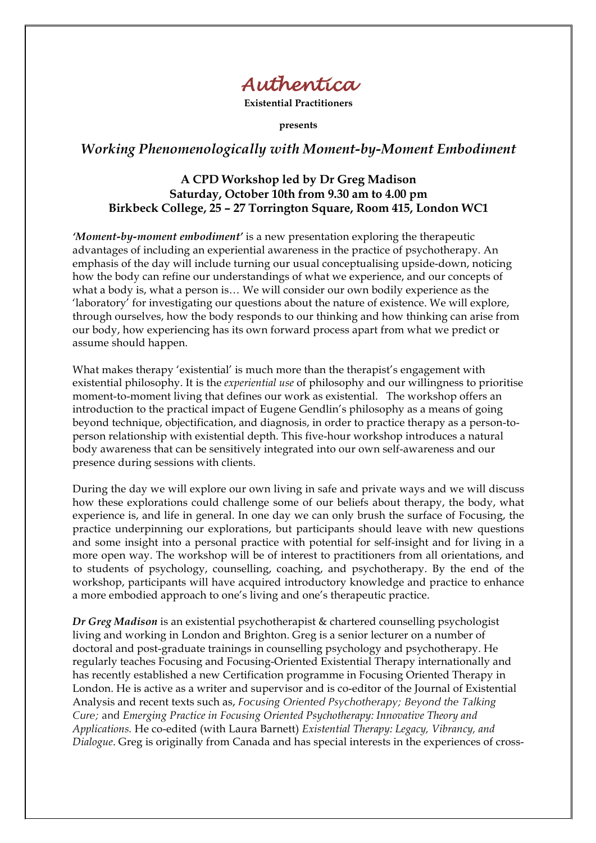

**Existential Practitioners**

**presents**

## *Working Phenomenologically with Moment-by-Moment Embodiment*

## **A CPD Workshop led by Dr Greg Madison Saturday, October 10th from 9.30 am to 4.00 pm Birkbeck College, 25 – 27 Torrington Square, Room 415, London WC1**

*'Moment-by-moment embodiment'* is a new presentation exploring the therapeutic advantages of including an experiential awareness in the practice of psychotherapy. An emphasis of the day will include turning our usual conceptualising upside-down, noticing how the body can refine our understandings of what we experience, and our concepts of what a body is, what a person is… We will consider our own bodily experience as the 'laboratory' for investigating our questions about the nature of existence. We will explore, through ourselves, how the body responds to our thinking and how thinking can arise from our body, how experiencing has its own forward process apart from what we predict or assume should happen.

What makes therapy 'existential' is much more than the therapist's engagement with existential philosophy. It is the *experiential use* of philosophy and our willingness to prioritise moment-to-moment living that defines our work as existential. The workshop offers an introduction to the practical impact of Eugene Gendlin's philosophy as a means of going beyond technique, objectification, and diagnosis, in order to practice therapy as a person-toperson relationship with existential depth. This five-hour workshop introduces a natural body awareness that can be sensitively integrated into our own self-awareness and our presence during sessions with clients.

During the day we will explore our own living in safe and private ways and we will discuss how these explorations could challenge some of our beliefs about therapy, the body, what experience is, and life in general. In one day we can only brush the surface of Focusing, the practice underpinning our explorations, but participants should leave with new questions and some insight into a personal practice with potential for self-insight and for living in a more open way. The workshop will be of interest to practitioners from all orientations, and to students of psychology, counselling, coaching, and psychotherapy. By the end of the workshop, participants will have acquired introductory knowledge and practice to enhance a more embodied approach to one's living and one's therapeutic practice.

*Dr Greg Madison* is an existential psychotherapist & chartered counselling psychologist living and working in London and Brighton. Greg is a senior lecturer on a number of doctoral and post-graduate trainings in counselling psychology and psychotherapy. He regularly teaches Focusing and Focusing-Oriented Existential Therapy internationally and has recently established a new Certification programme in Focusing Oriented Therapy in London. He is active as a writer and supervisor and is co-editor of the Journal of Existential Analysis and recent texts such as, *Focusing Oriented Psychotherapy; Beyond the Talking Cure;* and *Emerging Practice in Focusing Oriented Psychotherapy: Innovative Theory and Applications.* He co-edited (with Laura Barnett) *Existential Therapy: Legacy, Vibrancy, and Dialogue*. Greg is originally from Canada and has special interests in the experiences of cross